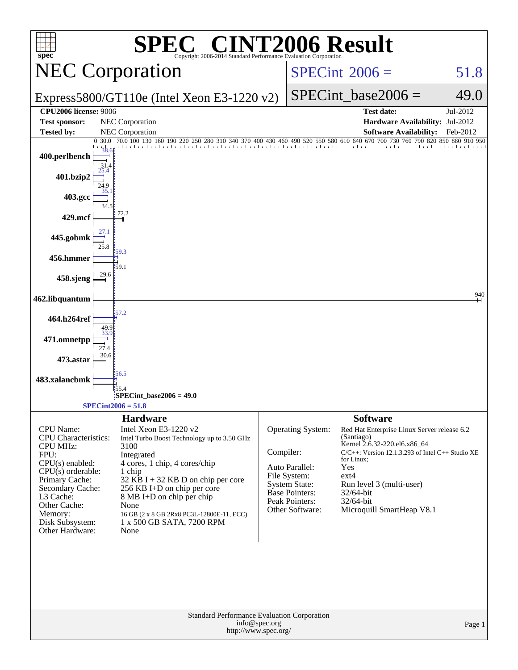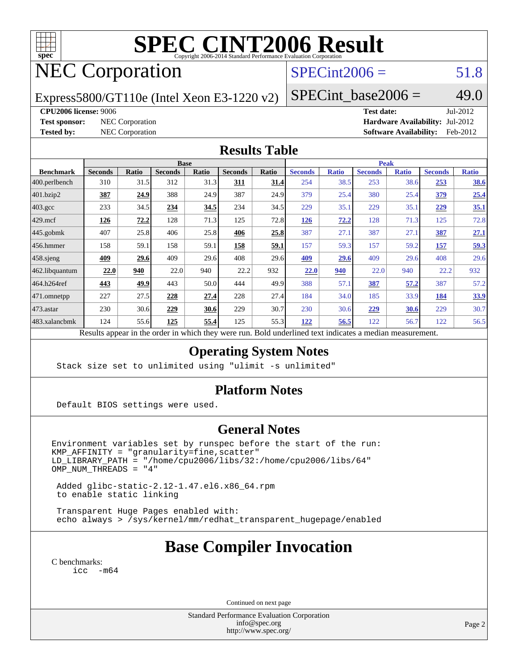

# **[SPEC CINT2006 Result](http://www.spec.org/auto/cpu2006/Docs/result-fields.html#SPECCINT2006Result)**

## NEC Corporation

### $SPECint2006 = 51.8$  $SPECint2006 = 51.8$

Express5800/GT110e (Intel Xeon E3-1220 v2)

 $SPECTnt\_base2006 = 49.0$ 

#### **[CPU2006 license:](http://www.spec.org/auto/cpu2006/Docs/result-fields.html#CPU2006license)** 9006 **[Test date:](http://www.spec.org/auto/cpu2006/Docs/result-fields.html#Testdate)** Jul-2012

**[Test sponsor:](http://www.spec.org/auto/cpu2006/Docs/result-fields.html#Testsponsor)** NEC Corporation **[Hardware Availability:](http://www.spec.org/auto/cpu2006/Docs/result-fields.html#HardwareAvailability)** Jul-2012 **[Tested by:](http://www.spec.org/auto/cpu2006/Docs/result-fields.html#Testedby)** NEC Corporation **[Software Availability:](http://www.spec.org/auto/cpu2006/Docs/result-fields.html#SoftwareAvailability)** Feb-2012

#### **[Results Table](http://www.spec.org/auto/cpu2006/Docs/result-fields.html#ResultsTable)**

|                    | <b>Base</b>                                                                                              |       |                |       |                |       | <b>Peak</b>    |              |                |              |                |              |
|--------------------|----------------------------------------------------------------------------------------------------------|-------|----------------|-------|----------------|-------|----------------|--------------|----------------|--------------|----------------|--------------|
| <b>Benchmark</b>   | <b>Seconds</b>                                                                                           | Ratio | <b>Seconds</b> | Ratio | <b>Seconds</b> | Ratio | <b>Seconds</b> | <b>Ratio</b> | <b>Seconds</b> | <b>Ratio</b> | <b>Seconds</b> | <b>Ratio</b> |
| 400.perlbench      | 310                                                                                                      | 31.5  | 312            | 31.3  | 311            | 31.4  | 254            | 38.5         | 253            | 38.6         | 253            | <b>38.6</b>  |
| $401$ .bzip2       | 387                                                                                                      | 24.9  | 388            | 24.9  | 387            | 24.9  | 379            | 25.4         | 380            | 25.4         | 379            | 25.4         |
| $403.\mathrm{gcc}$ | 233                                                                                                      | 34.5  | 234            | 34.5  | 234            | 34.5  | 229            | 35.1         | 229            | 35.1         | 229            | 35.1         |
| $429$ mcf          | 126                                                                                                      | 72.2  | 128            | 71.3  | 125            | 72.8  | <u>126</u>     | 72.2         | 128            | 71.3         | 125            | 72.8         |
| $445$ .gobmk       | 407                                                                                                      | 25.8  | 406            | 25.8  | 406            | 25.8  | 387            | 27.1         | 387            | 27.1         | 387            | 27.1         |
| $ 456$ .hmmer      | 158                                                                                                      | 59.1  | 158            | 59.1  | 158            | 59.1  | 157            | 59.3         | 157            | 59.2         | 157            | 59.3         |
| $458$ .sjeng       | 409                                                                                                      | 29.6  | 409            | 29.6  | 408            | 29.6  | 409            | 29.6         | 409            | 29.6         | 408            | 29.6         |
| 462.libquantum     | 22.0                                                                                                     | 940   | 22.0           | 940   | 22.2           | 932   | 22.0           | 940          | 22.0           | 940          | 22.2           | 932          |
| 464.h264ref        | 443                                                                                                      | 49.9  | 443            | 50.0  | 444            | 49.9  | 388            | 57.1         | <b>387</b>     | 57.2         | 387            | 57.2         |
| 471.omnetpp        | 227                                                                                                      | 27.5  | 228            | 27.4  | 228            | 27.4  | 184            | 34.0         | 185            | 33.9         | 184            | 33.9         |
| 473.astar          | 230                                                                                                      | 30.6  | 229            | 30.6  | 229            | 30.7  | 230            | 30.6         | 229            | 30.6         | 229            | 30.7         |
| 483.xalancbmk      | 124                                                                                                      | 55.6  | 125            | 55.4  | 125            | 55.3  | 122            | 56.5         | 122            | 56.7         | 122            | 56.5         |
|                    | Results appear in the order in which they were run. Bold underlined text indicates a median measurement. |       |                |       |                |       |                |              |                |              |                |              |

#### **[Operating System Notes](http://www.spec.org/auto/cpu2006/Docs/result-fields.html#OperatingSystemNotes)**

Stack size set to unlimited using "ulimit -s unlimited"

#### **[Platform Notes](http://www.spec.org/auto/cpu2006/Docs/result-fields.html#PlatformNotes)**

Default BIOS settings were used.

#### **[General Notes](http://www.spec.org/auto/cpu2006/Docs/result-fields.html#GeneralNotes)**

Environment variables set by runspec before the start of the run: KMP\_AFFINITY = "granularity=fine,scatter" LD\_LIBRARY\_PATH = "/home/cpu2006/libs/32:/home/cpu2006/libs/64" OMP\_NUM\_THREADS = "4"

 Added glibc-static-2.12-1.47.el6.x86\_64.rpm to enable static linking

 Transparent Huge Pages enabled with: echo always > /sys/kernel/mm/redhat\_transparent\_hugepage/enabled

## **[Base Compiler Invocation](http://www.spec.org/auto/cpu2006/Docs/result-fields.html#BaseCompilerInvocation)**

[C benchmarks](http://www.spec.org/auto/cpu2006/Docs/result-fields.html#Cbenchmarks): [icc -m64](http://www.spec.org/cpu2006/results/res2012q3/cpu2006-20120713-23664.flags.html#user_CCbase_intel_icc_64bit_f346026e86af2a669e726fe758c88044)

Continued on next page

Standard Performance Evaluation Corporation [info@spec.org](mailto:info@spec.org) <http://www.spec.org/>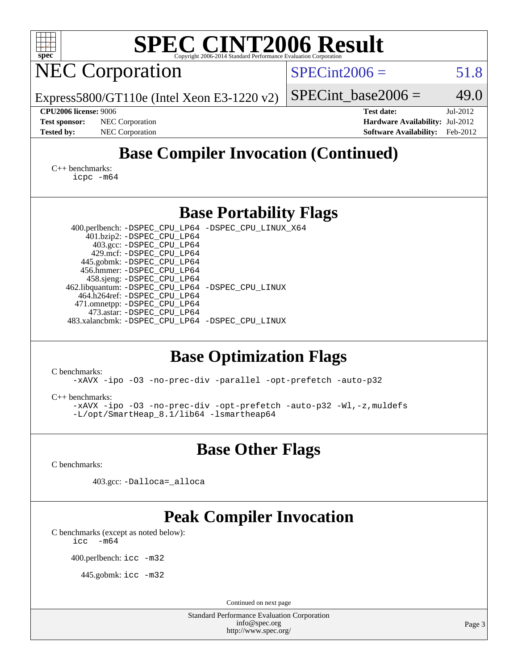| <b>SPEC CINT2006 Result</b><br>spec <sup>®</sup><br>Copyright 2006-2014 Standard Performance Evaluation Corporation |                                                                  |  |  |  |  |  |  |  |  |
|---------------------------------------------------------------------------------------------------------------------|------------------------------------------------------------------|--|--|--|--|--|--|--|--|
| <b>NEC Corporation</b>                                                                                              | $SPECint2006 =$<br>51.8                                          |  |  |  |  |  |  |  |  |
| Express5800/GT110e (Intel Xeon E3-1220 v2)                                                                          | 49.0<br>$SPECint\_base2006 =$                                    |  |  |  |  |  |  |  |  |
| <b>CPU2006 license: 9006</b><br>NEC Corporation<br><b>Test sponsor:</b>                                             | Jul-2012<br><b>Test date:</b><br>Hardware Availability: Jul-2012 |  |  |  |  |  |  |  |  |
| NEC Corporation<br><b>Tested by:</b>                                                                                | <b>Software Availability:</b><br>Feb-2012                        |  |  |  |  |  |  |  |  |
| <b>Base Compiler Invocation (Continued)</b>                                                                         |                                                                  |  |  |  |  |  |  |  |  |
| $C_{++}$ benchmarks:<br>icpc -m64                                                                                   |                                                                  |  |  |  |  |  |  |  |  |
| <b>Base Portability Flags</b>                                                                                       |                                                                  |  |  |  |  |  |  |  |  |
| 400.perlbench: -DSPEC_CPU_LP64 -DSPEC_CPU_LINUX_X64                                                                 |                                                                  |  |  |  |  |  |  |  |  |
| 401.bzip2: -DSPEC_CPU_LP64<br>403.gcc: -DSPEC_CPU_LP64                                                              |                                                                  |  |  |  |  |  |  |  |  |
| 429.mcf: -DSPEC_CPU_LP64<br>445.gobmk: -DSPEC_CPU_LP64                                                              |                                                                  |  |  |  |  |  |  |  |  |
| 456.hmmer: - DSPEC_CPU_LP64                                                                                         |                                                                  |  |  |  |  |  |  |  |  |
| 458.sjeng: -DSPEC_CPU_LP64<br>462.libquantum: -DSPEC_CPU_LP64 -DSPEC_CPU_LINUX                                      |                                                                  |  |  |  |  |  |  |  |  |
| 464.h264ref: -DSPEC_CPU_LP64                                                                                        |                                                                  |  |  |  |  |  |  |  |  |
| 471.omnetpp: -DSPEC_CPU_LP64<br>473.astar: -DSPEC_CPU_LP64                                                          |                                                                  |  |  |  |  |  |  |  |  |
| 483.xalancbmk: -DSPEC_CPU_LP64 -DSPEC_CPU_LINUX                                                                     |                                                                  |  |  |  |  |  |  |  |  |
| <b>Base Optimization Flags</b>                                                                                      |                                                                  |  |  |  |  |  |  |  |  |
| C benchmarks:<br>-xAVX -ipo -03 -no-prec-div -parallel -opt-prefetch -auto-p32                                      |                                                                  |  |  |  |  |  |  |  |  |
| $C_{++}$ benchmarks:                                                                                                |                                                                  |  |  |  |  |  |  |  |  |
| -xAVX -ipo -03 -no-prec-div -opt-prefetch -auto-p32 -Wl,-z, muldefs<br>-L/opt/SmartHeap 8.1/lib64 -lsmartheap64     |                                                                  |  |  |  |  |  |  |  |  |
| <b>Base Other Flags</b>                                                                                             |                                                                  |  |  |  |  |  |  |  |  |
| C benchmarks:                                                                                                       |                                                                  |  |  |  |  |  |  |  |  |
| 403.gcc: -Dalloca=_alloca                                                                                           |                                                                  |  |  |  |  |  |  |  |  |
| <b>Peak Compiler Invocation</b>                                                                                     |                                                                  |  |  |  |  |  |  |  |  |
| C benchmarks (except as noted below):<br>-m64<br>icc                                                                |                                                                  |  |  |  |  |  |  |  |  |
| 400.perlbench: icc -m32                                                                                             |                                                                  |  |  |  |  |  |  |  |  |
| 445.gobmk: icc -m32                                                                                                 |                                                                  |  |  |  |  |  |  |  |  |
| Continued on next page                                                                                              |                                                                  |  |  |  |  |  |  |  |  |
| <b>Standard Performance Evaluation Corporation</b>                                                                  |                                                                  |  |  |  |  |  |  |  |  |
| info@spec.org<br>http://www.spec.org/                                                                               | Page 3                                                           |  |  |  |  |  |  |  |  |
|                                                                                                                     |                                                                  |  |  |  |  |  |  |  |  |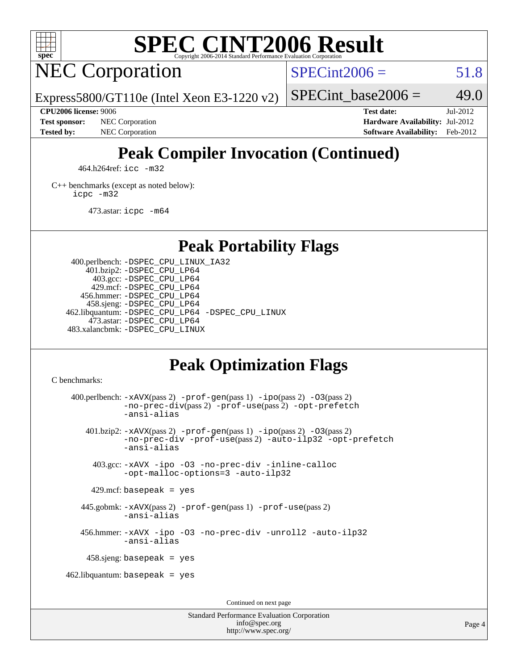

# **[SPEC CINT2006 Result](http://www.spec.org/auto/cpu2006/Docs/result-fields.html#SPECCINT2006Result)**

## NEC Corporation

 $SPECint2006 = 51.8$  $SPECint2006 = 51.8$ 

Express5800/GT110e (Intel Xeon E3-1220 v2)

**[Test sponsor:](http://www.spec.org/auto/cpu2006/Docs/result-fields.html#Testsponsor)** NEC Corporation **[Hardware Availability:](http://www.spec.org/auto/cpu2006/Docs/result-fields.html#HardwareAvailability)** Jul-2012 **[Tested by:](http://www.spec.org/auto/cpu2006/Docs/result-fields.html#Testedby)** NEC Corporation **[Software Availability:](http://www.spec.org/auto/cpu2006/Docs/result-fields.html#SoftwareAvailability)** Feb-2012

SPECint base2006 =  $49.0$ **[CPU2006 license:](http://www.spec.org/auto/cpu2006/Docs/result-fields.html#CPU2006license)** 9006 **[Test date:](http://www.spec.org/auto/cpu2006/Docs/result-fields.html#Testdate)** Jul-2012

## **[Peak Compiler Invocation \(Continued\)](http://www.spec.org/auto/cpu2006/Docs/result-fields.html#PeakCompilerInvocation)**

464.h264ref: [icc -m32](http://www.spec.org/cpu2006/results/res2012q3/cpu2006-20120713-23664.flags.html#user_peakCCLD464_h264ref_intel_icc_a6a621f8d50482236b970c6ac5f55f93)

[C++ benchmarks \(except as noted below\):](http://www.spec.org/auto/cpu2006/Docs/result-fields.html#CXXbenchmarksexceptasnotedbelow) [icpc -m32](http://www.spec.org/cpu2006/results/res2012q3/cpu2006-20120713-23664.flags.html#user_CXXpeak_intel_icpc_4e5a5ef1a53fd332b3c49e69c3330699)

473.astar: [icpc -m64](http://www.spec.org/cpu2006/results/res2012q3/cpu2006-20120713-23664.flags.html#user_peakCXXLD473_astar_intel_icpc_64bit_fc66a5337ce925472a5c54ad6a0de310)

#### **[Peak Portability Flags](http://www.spec.org/auto/cpu2006/Docs/result-fields.html#PeakPortabilityFlags)**

 400.perlbench: [-DSPEC\\_CPU\\_LINUX\\_IA32](http://www.spec.org/cpu2006/results/res2012q3/cpu2006-20120713-23664.flags.html#b400.perlbench_peakCPORTABILITY_DSPEC_CPU_LINUX_IA32) 401.bzip2: [-DSPEC\\_CPU\\_LP64](http://www.spec.org/cpu2006/results/res2012q3/cpu2006-20120713-23664.flags.html#suite_peakPORTABILITY401_bzip2_DSPEC_CPU_LP64) 403.gcc: [-DSPEC\\_CPU\\_LP64](http://www.spec.org/cpu2006/results/res2012q3/cpu2006-20120713-23664.flags.html#suite_peakPORTABILITY403_gcc_DSPEC_CPU_LP64) 429.mcf: [-DSPEC\\_CPU\\_LP64](http://www.spec.org/cpu2006/results/res2012q3/cpu2006-20120713-23664.flags.html#suite_peakPORTABILITY429_mcf_DSPEC_CPU_LP64) 456.hmmer: [-DSPEC\\_CPU\\_LP64](http://www.spec.org/cpu2006/results/res2012q3/cpu2006-20120713-23664.flags.html#suite_peakPORTABILITY456_hmmer_DSPEC_CPU_LP64) 458.sjeng: [-DSPEC\\_CPU\\_LP64](http://www.spec.org/cpu2006/results/res2012q3/cpu2006-20120713-23664.flags.html#suite_peakPORTABILITY458_sjeng_DSPEC_CPU_LP64) 462.libquantum: [-DSPEC\\_CPU\\_LP64](http://www.spec.org/cpu2006/results/res2012q3/cpu2006-20120713-23664.flags.html#suite_peakPORTABILITY462_libquantum_DSPEC_CPU_LP64) [-DSPEC\\_CPU\\_LINUX](http://www.spec.org/cpu2006/results/res2012q3/cpu2006-20120713-23664.flags.html#b462.libquantum_peakCPORTABILITY_DSPEC_CPU_LINUX) 473.astar: [-DSPEC\\_CPU\\_LP64](http://www.spec.org/cpu2006/results/res2012q3/cpu2006-20120713-23664.flags.html#suite_peakPORTABILITY473_astar_DSPEC_CPU_LP64) 483.xalancbmk: [-DSPEC\\_CPU\\_LINUX](http://www.spec.org/cpu2006/results/res2012q3/cpu2006-20120713-23664.flags.html#b483.xalancbmk_peakCXXPORTABILITY_DSPEC_CPU_LINUX)

## **[Peak Optimization Flags](http://www.spec.org/auto/cpu2006/Docs/result-fields.html#PeakOptimizationFlags)**

[C benchmarks](http://www.spec.org/auto/cpu2006/Docs/result-fields.html#Cbenchmarks):

400.perlbench:  $-xAUX(pass 2)$  -prof-qen(pass 1) [-ipo](http://www.spec.org/cpu2006/results/res2012q3/cpu2006-20120713-23664.flags.html#user_peakPASS2_CFLAGSPASS2_LDCFLAGS400_perlbench_f-ipo)(pass 2) -03(pass 2) [-no-prec-div](http://www.spec.org/cpu2006/results/res2012q3/cpu2006-20120713-23664.flags.html#user_peakPASS2_CFLAGSPASS2_LDCFLAGS400_perlbench_f-no-prec-div)(pass 2) [-prof-use](http://www.spec.org/cpu2006/results/res2012q3/cpu2006-20120713-23664.flags.html#user_peakPASS2_CFLAGSPASS2_LDCFLAGS400_perlbench_prof_use_bccf7792157ff70d64e32fe3e1250b55)(pass 2) [-opt-prefetch](http://www.spec.org/cpu2006/results/res2012q3/cpu2006-20120713-23664.flags.html#user_peakCOPTIMIZE400_perlbench_f-opt-prefetch) [-ansi-alias](http://www.spec.org/cpu2006/results/res2012q3/cpu2006-20120713-23664.flags.html#user_peakCOPTIMIZE400_perlbench_f-ansi-alias) 401.bzip2: [-xAVX](http://www.spec.org/cpu2006/results/res2012q3/cpu2006-20120713-23664.flags.html#user_peakPASS2_CFLAGSPASS2_LDCFLAGS401_bzip2_f-xAVX)(pass 2) [-prof-gen](http://www.spec.org/cpu2006/results/res2012q3/cpu2006-20120713-23664.flags.html#user_peakPASS1_CFLAGSPASS1_LDCFLAGS401_bzip2_prof_gen_e43856698f6ca7b7e442dfd80e94a8fc)(pass 1) [-ipo](http://www.spec.org/cpu2006/results/res2012q3/cpu2006-20120713-23664.flags.html#user_peakPASS2_CFLAGSPASS2_LDCFLAGS401_bzip2_f-ipo)(pass 2) [-O3](http://www.spec.org/cpu2006/results/res2012q3/cpu2006-20120713-23664.flags.html#user_peakPASS2_CFLAGSPASS2_LDCFLAGS401_bzip2_f-O3)(pass 2) [-no-prec-div](http://www.spec.org/cpu2006/results/res2012q3/cpu2006-20120713-23664.flags.html#user_peakCOPTIMIZEPASS2_CFLAGSPASS2_LDCFLAGS401_bzip2_f-no-prec-div) [-prof-use](http://www.spec.org/cpu2006/results/res2012q3/cpu2006-20120713-23664.flags.html#user_peakPASS2_CFLAGSPASS2_LDCFLAGS401_bzip2_prof_use_bccf7792157ff70d64e32fe3e1250b55)(pass 2) [-auto-ilp32](http://www.spec.org/cpu2006/results/res2012q3/cpu2006-20120713-23664.flags.html#user_peakCOPTIMIZE401_bzip2_f-auto-ilp32) [-opt-prefetch](http://www.spec.org/cpu2006/results/res2012q3/cpu2006-20120713-23664.flags.html#user_peakCOPTIMIZE401_bzip2_f-opt-prefetch) [-ansi-alias](http://www.spec.org/cpu2006/results/res2012q3/cpu2006-20120713-23664.flags.html#user_peakCOPTIMIZE401_bzip2_f-ansi-alias) 403.gcc: [-xAVX](http://www.spec.org/cpu2006/results/res2012q3/cpu2006-20120713-23664.flags.html#user_peakCOPTIMIZE403_gcc_f-xAVX) [-ipo](http://www.spec.org/cpu2006/results/res2012q3/cpu2006-20120713-23664.flags.html#user_peakCOPTIMIZE403_gcc_f-ipo) [-O3](http://www.spec.org/cpu2006/results/res2012q3/cpu2006-20120713-23664.flags.html#user_peakCOPTIMIZE403_gcc_f-O3) [-no-prec-div](http://www.spec.org/cpu2006/results/res2012q3/cpu2006-20120713-23664.flags.html#user_peakCOPTIMIZE403_gcc_f-no-prec-div) [-inline-calloc](http://www.spec.org/cpu2006/results/res2012q3/cpu2006-20120713-23664.flags.html#user_peakCOPTIMIZE403_gcc_f-inline-calloc) [-opt-malloc-options=3](http://www.spec.org/cpu2006/results/res2012q3/cpu2006-20120713-23664.flags.html#user_peakCOPTIMIZE403_gcc_f-opt-malloc-options_13ab9b803cf986b4ee62f0a5998c2238) [-auto-ilp32](http://www.spec.org/cpu2006/results/res2012q3/cpu2006-20120713-23664.flags.html#user_peakCOPTIMIZE403_gcc_f-auto-ilp32)  $429$ .mcf: basepeak = yes 445.gobmk: [-xAVX](http://www.spec.org/cpu2006/results/res2012q3/cpu2006-20120713-23664.flags.html#user_peakPASS2_CFLAGSPASS2_LDCFLAGS445_gobmk_f-xAVX)(pass 2) [-prof-gen](http://www.spec.org/cpu2006/results/res2012q3/cpu2006-20120713-23664.flags.html#user_peakPASS1_CFLAGSPASS1_LDCFLAGS445_gobmk_prof_gen_e43856698f6ca7b7e442dfd80e94a8fc)(pass 1) [-prof-use](http://www.spec.org/cpu2006/results/res2012q3/cpu2006-20120713-23664.flags.html#user_peakPASS2_CFLAGSPASS2_LDCFLAGS445_gobmk_prof_use_bccf7792157ff70d64e32fe3e1250b55)(pass 2) [-ansi-alias](http://www.spec.org/cpu2006/results/res2012q3/cpu2006-20120713-23664.flags.html#user_peakCOPTIMIZE445_gobmk_f-ansi-alias) 456.hmmer: [-xAVX](http://www.spec.org/cpu2006/results/res2012q3/cpu2006-20120713-23664.flags.html#user_peakCOPTIMIZE456_hmmer_f-xAVX) [-ipo](http://www.spec.org/cpu2006/results/res2012q3/cpu2006-20120713-23664.flags.html#user_peakCOPTIMIZE456_hmmer_f-ipo) [-O3](http://www.spec.org/cpu2006/results/res2012q3/cpu2006-20120713-23664.flags.html#user_peakCOPTIMIZE456_hmmer_f-O3) [-no-prec-div](http://www.spec.org/cpu2006/results/res2012q3/cpu2006-20120713-23664.flags.html#user_peakCOPTIMIZE456_hmmer_f-no-prec-div) [-unroll2](http://www.spec.org/cpu2006/results/res2012q3/cpu2006-20120713-23664.flags.html#user_peakCOPTIMIZE456_hmmer_f-unroll_784dae83bebfb236979b41d2422d7ec2) [-auto-ilp32](http://www.spec.org/cpu2006/results/res2012q3/cpu2006-20120713-23664.flags.html#user_peakCOPTIMIZE456_hmmer_f-auto-ilp32) [-ansi-alias](http://www.spec.org/cpu2006/results/res2012q3/cpu2006-20120713-23664.flags.html#user_peakCOPTIMIZE456_hmmer_f-ansi-alias) 458.sjeng: basepeak = yes  $462$ .libquantum: basepeak = yes Continued on next page

> Standard Performance Evaluation Corporation [info@spec.org](mailto:info@spec.org) <http://www.spec.org/>